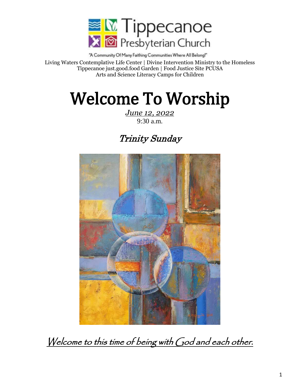

"A Community Of Many Faithing Communities Where All Belong!" Living Waters Contemplative Life Center | Divine Intervention Ministry to the Homeless Tippecanoe just.good.food Garden | Food Justice Site PCUSA Arts and Science Literacy Camps for Children

# Welcome To Worship

*June 12, 2022* 9:30 a.m.

# Trinity Sunday



Welcome to this time of being with God and each other.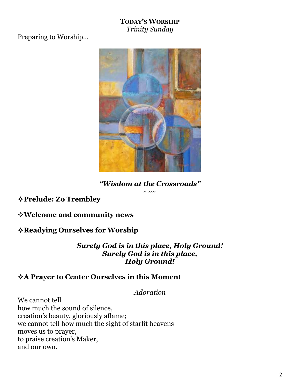### **TODAY'S WORSHIP** *Trinity Sunday*

Preparing to Worship…



*"Wisdom at the Crossroads"*  $\sim\sim\sim$ 

**Prelude: Zo Trembley**

**Welcome and community news**

# **Readying Ourselves for Worship**

*Surely God is in this place, Holy Ground! Surely God is in this place, Holy Ground!*

### **A Prayer to Center Ourselves in this Moment**

*Adoration*

We cannot tell how much the sound of silence, creation's beauty, gloriously aflame; we cannot tell how much the sight of starlit heavens moves us to prayer, to praise creation's Maker, and our own.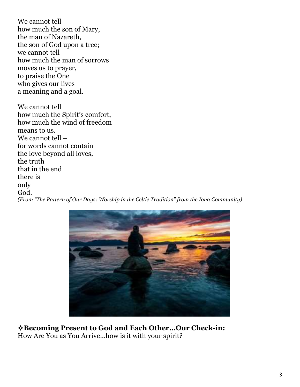We cannot tell how much the son of Mary, the man of Nazareth, the son of God upon a tree; we cannot tell how much the man of sorrows moves us to prayer, to praise the One who gives our lives a meaning and a goal.

We cannot tell how much the Spirit's comfort, how much the wind of freedom means to us. We cannot tell – for words cannot contain the love beyond all loves, the truth that in the end there is only God. *(From "The Pattern of Our Days: Worship in the Celtic Tradition" from the Iona Community)*



**Becoming Present to God and Each Other…Our Check-in:** How Are You as You Arrive…how is it with your spirit?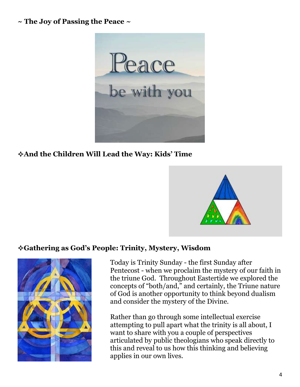### **~ The Joy of Passing the Peace ~**



# **And the Children Will Lead the Way: Kids' Time**



### **Gathering as God's People: Trinity, Mystery, Wisdom**



Today is Trinity Sunday - the first Sunday after Pentecost - when we proclaim the mystery of our faith in the triune God. Throughout Eastertide we explored the concepts of "both/and," and certainly, the Triune nature of God is another opportunity to think beyond dualism and consider the mystery of the Divine.

Rather than go through some intellectual exercise attempting to pull apart what the trinity is all about, I want to share with you a couple of perspectives articulated by public theologians who speak directly to this and reveal to us how this thinking and believing applies in our own lives.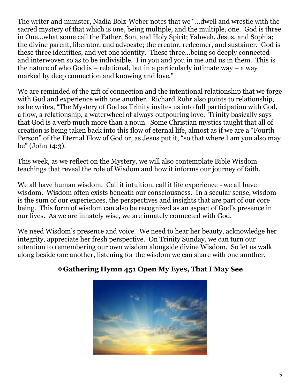The writer and minister, Nadia Bolz-Weber notes that we "…dwell and wrestle with the sacred mystery of that which is one, being multiple, and the multiple, one. God is three in One…what some call the Father, Son, and Holy Spirit; Yahweh, Jesus, and Sophia; the divine parent, liberator, and advocate; the creator, redeemer, and sustainer. God is these three identities, and yet one identity. These three…being so deeply connected and interwoven so as to be indivisible. I in you and you in me and us in them. This is the nature of who God is – relational, but in a particularly intimate way – a way marked by deep connection and knowing and love."

We are reminded of the gift of connection and the intentional relationship that we forge with God and experience with one another. Richard Rohr also points to relationship, as he writes, "The Mystery of God as Trinity invites us into full participation with God, a flow, a relationship, a waterwheel of always outpouring love. Trinity basically says that God is a verb much more than a noun. Some Christian mystics taught that all of creation is being taken back into this flow of eternal life, almost as if we are a "Fourth Person" of the Eternal Flow of God or, as Jesus put it, "so that where I am you also may be" (John 14:3).

This week, as we reflect on the Mystery, we will also contemplate Bible Wisdom teachings that reveal the role of Wisdom and how it informs our journey of faith.

We all have human wisdom. Call it intuition, call it life experience - we all have wisdom. Wisdom often exists beneath our consciousness. In a secular sense, wisdom is the sum of our experiences, the perspectives and insights that are part of our core being. This form of wisdom can also be recognized as an aspect of God's presence in our lives. As we are innately wise, we are innately connected with God.

We need Wisdom's presence and voice. We need to hear her beauty, acknowledge her integrity, appreciate her fresh perspective. On Trinity Sunday, we can turn our attention to remembering our own wisdom alongside divine Wisdom. So let us walk along beside one another, listening for the wisdom we can share with one another.



# **Gathering Hymn 451 Open My Eyes, That I May See**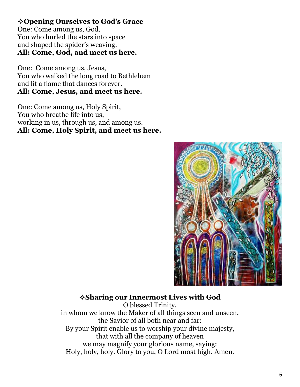# **Opening Ourselves to God's Grace**

One: Come among us, God, You who hurled the stars into space and shaped the spider's weaving. **All: Come, God, and meet us here.**

One: Come among us, Jesus, You who walked the long road to Bethlehem and lit a flame that dances forever. **All: Come, Jesus, and meet us here.**

One: Come among us, Holy Spirit, You who breathe life into us, working in us, through us, and among us. **All: Come, Holy Spirit, and meet us here.**



### **Sharing our Innermost Lives with God**

O blessed Trinity, in whom we know the Maker of all things seen and unseen, the Savior of all both near and far: By your Spirit enable us to worship your divine majesty, that with all the company of heaven we may magnify your glorious name, saying: Holy, holy, holy. Glory to you, O Lord most high. Amen.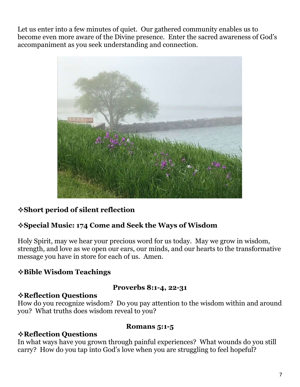Let us enter into a few minutes of quiet. Our gathered community enables us to become even more aware of the Divine presence. Enter the sacred awareness of God's accompaniment as you seek understanding and connection.



# **Short period of silent reflection**

# **Special Music: 174 Come and Seek the Ways of Wisdom**

Holy Spirit, may we hear your precious word for us today. May we grow in wisdom, strength, and love as we open our ears, our minds, and our hearts to the transformative message you have in store for each of us. Amen.

# **Bible Wisdom Teachings**

#### **Proverbs 8:1-4, 22-31**

#### **Reflection Questions**

How do you recognize wisdom? Do you pay attention to the wisdom within and around you? What truths does wisdom reveal to you?

### **Reflection Questions**

#### **Romans 5:1-5**

In what ways have you grown through painful experiences? What wounds do you still carry? How do you tap into God's love when you are struggling to feel hopeful?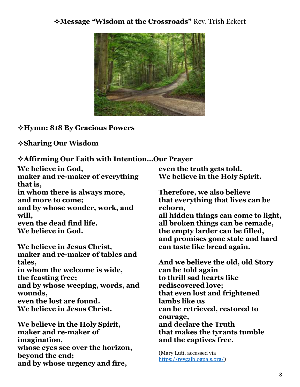### **Message** *"***Wisdom at the Crossroads"** Rev. Trish Eckert



**Hymn: 818 By Gracious Powers**

**Sharing Our Wisdom**

**Affirming Our Faith with Intention…Our Prayer**

**We believe in God, maker and re-maker of everything that is, in whom there is always more, and more to come; and by whose wonder, work, and will,** 

**even the dead find life. We believe in God.**

**We believe in Jesus Christ, maker and re-maker of tables and tales, in whom the welcome is wide, the feasting free; and by whose weeping, words, and wounds, even the lost are found. We believe in Jesus Christ.**

**We believe in the Holy Spirit, maker and re-maker of imagination, whose eyes see over the horizon, beyond the end; and by whose urgency and fire,** 

**even the truth gets told. We believe in the Holy Spirit.**

**Therefore, we also believe that everything that lives can be reborn,** 

**all hidden things can come to light, all broken things can be remade, the empty larder can be filled, and promises gone stale and hard can taste like bread again.**

**And we believe the old, old Story can be told again to thrill sad hearts like rediscovered love; that even lost and frightened lambs like us can be retrieved, restored to courage, and declare the Truth that makes the tyrants tumble and the captives free.**

(Mary Luti, accessed via [https://revgalblogpals.org/\)](https://revgalblogpals.org/)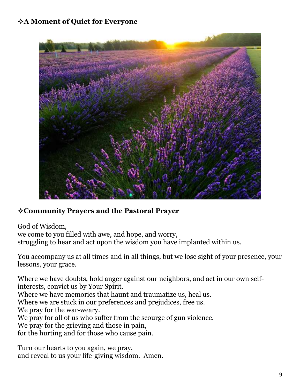# **A Moment of Quiet for Everyone**



# **Community Prayers and the Pastoral Prayer**

God of Wisdom, we come to you filled with awe, and hope, and worry, struggling to hear and act upon the wisdom you have implanted within us.

You accompany us at all times and in all things, but we lose sight of your presence, your lessons, your grace.

Where we have doubts, hold anger against our neighbors, and act in our own selfinterests, convict us by Your Spirit. Where we have memories that haunt and traumatize us, heal us. Where we are stuck in our preferences and prejudices, free us. We pray for the war-weary. We pray for all of us who suffer from the scourge of gun violence. We pray for the grieving and those in pain, for the hurting and for those who cause pain.

Turn our hearts to you again, we pray, and reveal to us your life-giving wisdom. Amen.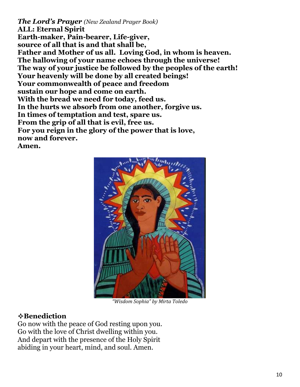*The Lord's Prayer (New Zealand Prayer Book)*  **ALL: Eternal Spirit Earth-maker, Pain-bearer, Life-giver, source of all that is and that shall be, Father and Mother of us all. Loving God, in whom is heaven. The hallowing of your name echoes through the universe! The way of your justice be followed by the peoples of the earth! Your heavenly will be done by all created beings! Your commonwealth of peace and freedom sustain our hope and come on earth. With the bread we need for today, feed us. In the hurts we absorb from one another, forgive us. In times of temptation and test, spare us. From the grip of all that is evil, free us. For you reign in the glory of the power that is love, now and forever. Amen.**



*"Wisdom Sophia" by Mirta Toledo*

#### **Benediction**

Go now with the peace of God resting upon you. Go with the love of Christ dwelling within you. And depart with the presence of the Holy Spirit abiding in your heart, mind, and soul. Amen.